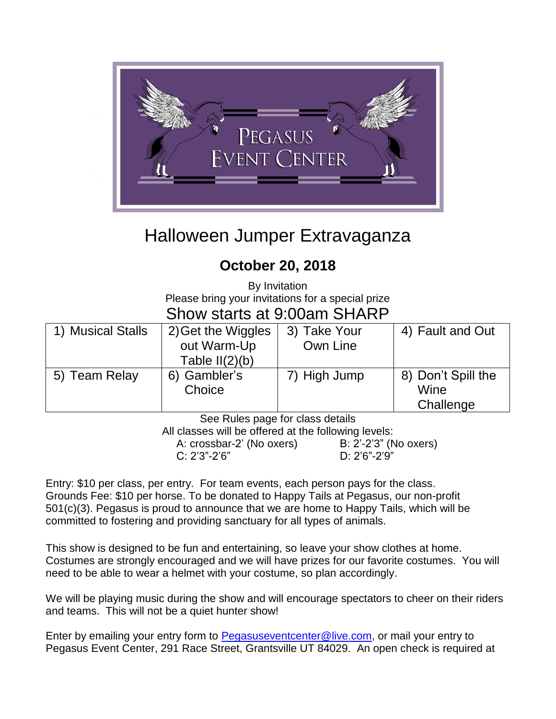

# Halloween Jumper Extravaganza

### **October 20, 2018**

By Invitation Please bring your invitations for a special prize

### Show starts at 9:00am SHARP

| 1) Musical Stalls | 2) Get the Wiggles | 3) Take Your | 4) Fault and Out   |
|-------------------|--------------------|--------------|--------------------|
|                   | out Warm-Up        | Own Line     |                    |
|                   | Table $II(2)(b)$   |              |                    |
| 5) Team Relay     | 6) Gambler's       | 7) High Jump | 8) Don't Spill the |
|                   | Choice             |              | Wine               |
|                   |                    |              | Challenge          |

See Rules page for class details

All classes will be offered at the following levels:

A: crossbar-2' (No oxers) B: 2'-2'3" (No oxers) C: 2'3"-2'6" D: 2'6"-2'9"

Entry: \$10 per class, per entry. For team events, each person pays for the class. Grounds Fee: \$10 per horse. To be donated to Happy Tails at Pegasus, our non-profit 501(c)(3). Pegasus is proud to announce that we are home to Happy Tails, which will be committed to fostering and providing sanctuary for all types of animals.

This show is designed to be fun and entertaining, so leave your show clothes at home. Costumes are strongly encouraged and we will have prizes for our favorite costumes. You will need to be able to wear a helmet with your costume, so plan accordingly.

We will be playing music during the show and will encourage spectators to cheer on their riders and teams. This will not be a quiet hunter show!

Enter by emailing your entry form to [Pegasuseventcenter@live.com,](mailto:Pegasuseventcenter@live.com) or mail your entry to Pegasus Event Center, 291 Race Street, Grantsville UT 84029. An open check is required at